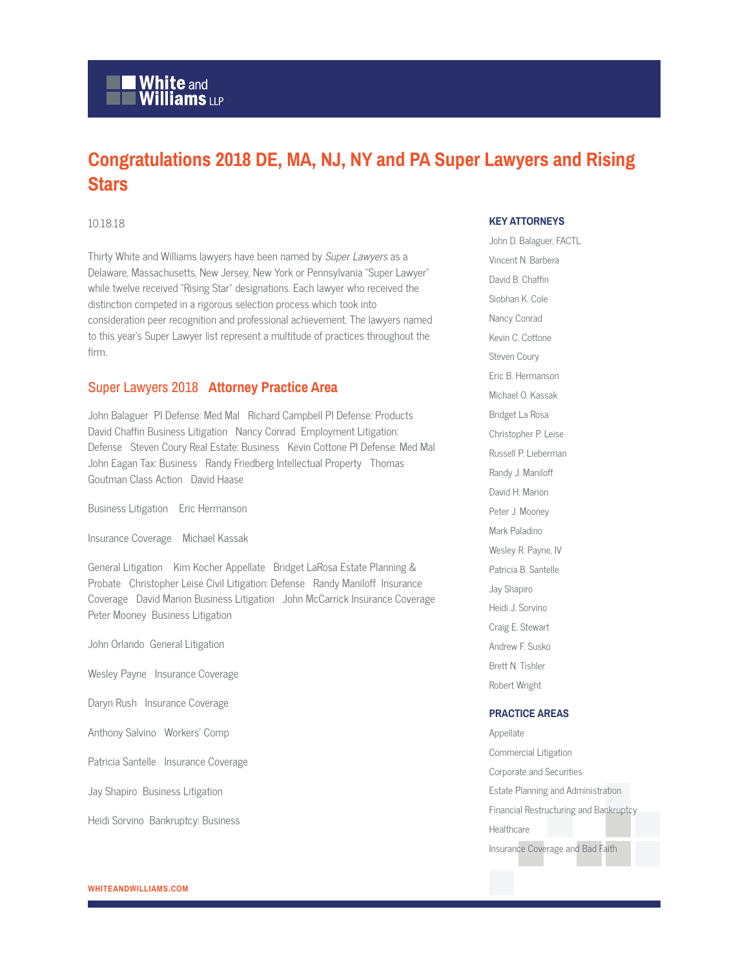# White and<br>Williams LLP

### **Congratulations 2018 DE, MA, NJ, NY and PA Super Lawyers and Rising Stars**

#### 10.18.18

Thirty White and Williams lawyers have been named by Super Lawyers as a Delaware, Massachusetts, New Jersey, New York or Pennsylvania "Super Lawyer" while twelve received "Rising Star" designations. Each lawyer who received the distinction competed in a rigorous selection process which took into consideration peer recognition and professional achievement. The lawyers named to this year's Super Lawyer list represent a multitude of practices throughout the firm.

#### Super Lawyers 2018 **Attorney Practice Area**

John Balaguer PI Defense: Med Mal Richard Campbell PI Defense: Products David Chaffin Business Litigation Nancy Conrad Employment Litigation: Defense Steven Coury Real Estate: Business Kevin Cottone PI Defense: Med Mal John Eagan Tax: Business Randy Friedberg Intellectual Property Thomas Goutman Class Action David Haase

Business Litigation Eric Hermanson

Insurance Coverage Michael Kassak

General Litigation Kim Kocher Appellate Bridget LaRosa Estate Planning & Probate Christopher Leise Civil Litigation: Defense Randy Maniloff Insurance Coverage David Marion Business Litigation John McCarrick Insurance Coverage Peter Mooney Business Litigation

John Orlando General Litigation

Wesley Payne Insurance Coverage

Daryn Rush Insurance Coverage

Anthony Salvino Workers' Comp

Patricia Santelle Insurance Coverage

Jay Shapiro Business Litigation

Heidi Sorvino Bankruptcy: Business

#### **KEY ATTORNEYS**

John D. Balaguer, FACTL Vincent N. Barbera David B. Chaffin Siobhan K. Cole Nancy Conrad Kevin C. Cottone Steven Coury Eric B. Hermanson Michael O. Kassak Bridget La Rosa Christopher P. Leise Russell P. Lieberman Randy J. Maniloff David H. Marion Peter J. Mooney Mark Paladino Wesley R. Payne, IV Patricia B. Santelle Jay Shapiro Heidi J. Sorvino Craig E. Stewart Andrew F. Susko Brett N. Tishler Robert Wright

#### **PRACTICE AREAS**

Appellate Commercial Litigation Corporate and Securities Estate Planning and Administration Financial Restructuring and Bankruptcy **Healthcare** Insurance Coverage and Bad Faith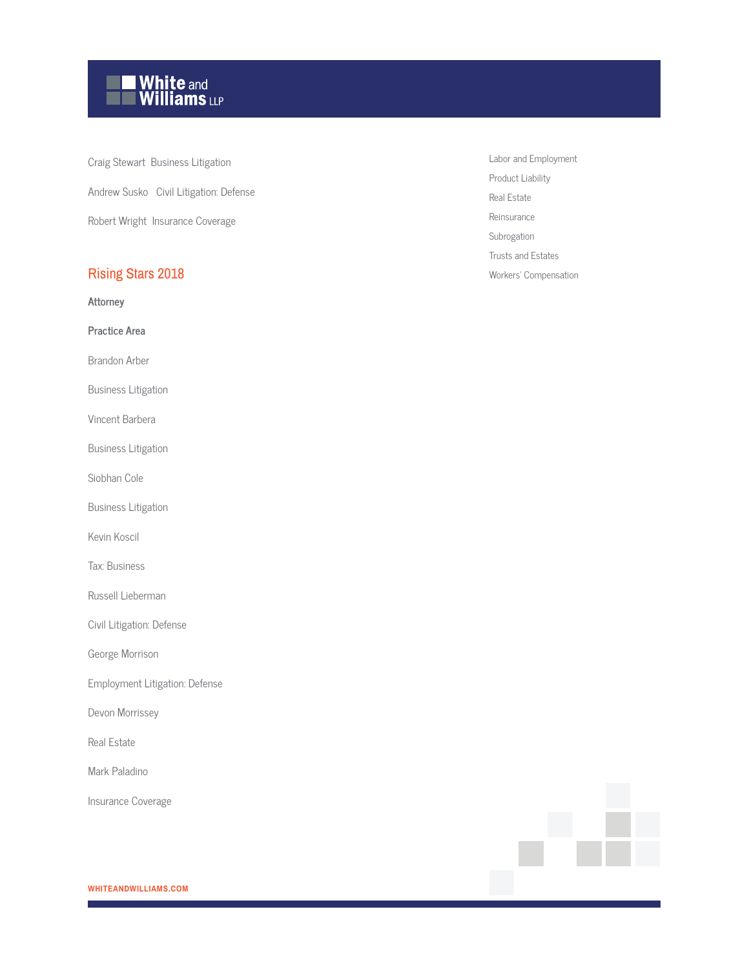# $\blacksquare$  White and<br> $\blacksquare$  Williams  $_{\mathsf{LLP}}$

Craig Stewart Business Litigation Andrew Susko Civil Litigation: Defense Robert Wright Insurance Coverage

### Rising Stars 2018

**Attorney**

**Practice Area**

Brandon Arber

Business Litigation

Vincent Barbera

Business Litigation

Siobhan Cole

Business Litigation

Kevin Koscil

Tax: Business

Russell Lieberman

Civil Litigation: Defense

George Morrison

Employment Litigation: Defense

Devon Morrissey

Real Estate

Mark Paladino

Insurance Coverage

Labor and Employment Product Liability Real Estate Reinsurance Subrogation Trusts and Estates Workers' Compensation